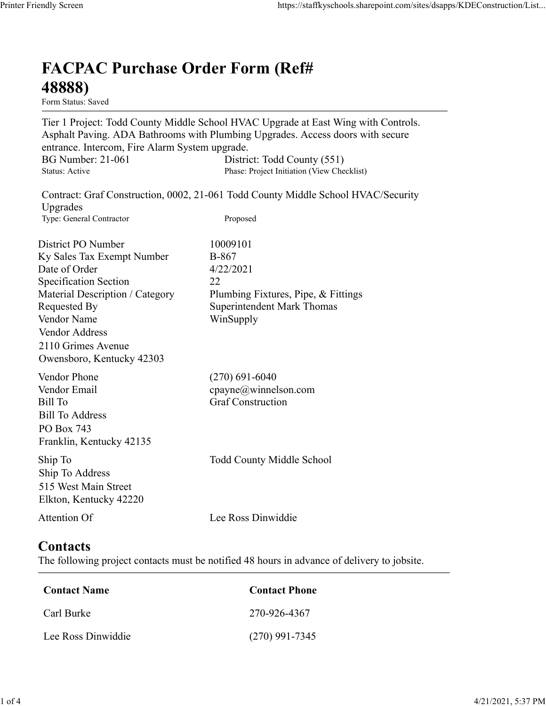## FACPAC Purchase Order Form (Ref# 48888)

Form Status: Saved

Tier 1 Project: Todd County Middle School HVAC Upgrade at East Wing with Controls. Asphalt Paving. ADA Bathrooms with Plumbing Upgrades. Access doors with secure entrance. Intercom, Fire Alarm System upgrade. https://staffkyschools.sharepoint.com/sites/dsapps/KDEConstructic<br> **FACPAC Purchase Order Form (Ref#**<br>  $\leftarrow$  **488888)**<br>
Form Status: Saved<br>
Tier 1 Project: Todd County Middle School HVAC Upgrade at East Wing with Controls. https://staffkyschools.sharepoint.com/sites/dsapps/KDEConstructic<br> **FACPAC Purchase Order Form (Ref#**<br>
Form Status: Saved<br>
Form Status: Saved<br>
Tier 1 Project: Todd County Middle School HVAC Upgrade at East Wing with Contro Contract: Graf Construction, 0002, 21-061 Todd County Middle School HVAC/Security Upgrades May Screen<br>
Intps://staffkyschools.sharepoint.com/sites/dsarps/KDFConstructic<br>
Ter 1 Project: Todd County Middle School HVAC Upgrade at East Wing with Controls.<br>
Ter 1 Project: Todd County Middle School HVAC Upgrade at Eas **FACPAC Purchase Order Form (Ref#** $\frac{48888}{1}$ **<br>
Form Status: Saved<br>
Trer 1 Project: Todd County Middle School HVAC Upgrade at East Wing with Controls.<br>
Asphalt Paving. ADA Bathrooms with Plumbing Upgrades. Access doors wi FACPAC Purchase Order Form (Ref#**<br> **48888)**<br>
Form Stans: Saved<br>
Form Stans: Saved<br>
Teroject: Todd County Middle School HVAC Upgrade at East Wing with Controls.<br>
Asphalt Paving. ADA Bathrooms with Plumbing Upgrades.<br>
Acce **FACPAC Purchase Order Form (Ref#**<br> **48888)**<br>
Form Status: Saved<br>
Tier 1 Project: Todd County Middle School HVAC Upgrade at East Wing with Controls.<br>
Asphalt Paving. ADA Bathrooms with Plumbing Upgrades. Access doors with **FACPAC Purchase Order Form (Ref#**<br> **48888)**<br>
Form Status: Saved<br>
Tier 1 Project: Todd County Middle School HVAC Upgrade at East Wing with Controls.<br>
Asphalt Paving, ADA Bathrooms with Plumbing Upgrades. Access doors with **FACPAC Purchase Order Form (Ref#**<br> **48888)**<br>
Form States Saved<br>
Form States Saved<br>
Ter 1 Project: Todd County Middle School HVAC Upgrade at East Wing with Controls.<br>
Asphalt Paving. ADA Bathrooms with Plumbing Upgrades.<br> **48888)**<br>
Form Statuss Saved<br>
Tier 1 Project: Todd County Middle School HVAC Upgrade at East Wing with Controls.<br>
Apphalt Paving. ADA Bathrooms with Plumbing Upgrades. Access doors with secure<br>
entrance. Intercom, Fire Ala **From States:**<br> **From States:**<br> **From States:**<br> **From States:**<br> **From States:**<br> **Commistration Commist School HVAC Upgrade at East Wing with Controls.**<br> **Asphalt Paving.** ADA Bathrooms with Plumbing Upgrades. Access doors Vendor Address 2110 Grimes Avenue Owensboro, Kentucky 42303 entrance. Intercom, Fire Alarm System upgrade.<br>
BG Number: 21-061 District: Todd County (551)<br>
Status: Active Phase: Project Initiation (View Checklist)<br>
Upgrades<br>
Contract: Graf Construction, 0002, 21-061 Todd County Midd Exampler: 21-061<br>
Bisse Project Initation (View Checklist)<br>
Status: Arive<br>
Character Graf Construction, 0002, 21-061 Todd County Middle School HVAC/Security<br>
Upgrades<br>
Type: General Contractor<br>
District PO Number<br>
District Sultan: Active<br>
Expansion: Craft Construction, 0002, 21-061 Todd County Middle School HVAC/Security<br>
Upgrades<br>
Type: General Contractor<br>
The Cherner<br>
District PO Number<br>
IDistrict PO Number<br>
IDistrict PO Number<br>
IDistrict Bill To Address PO Box 743 Franklin, Kentucky 42135 District PO Number<br>
IS Notes of Order<br>
Date of Order<br>
Date of Order<br>
Specification Section<br>
Specification School<br>
Specification School<br>
Material Description / Category<br>
Plumbing Fixtures, Pipe, & Fittings<br>
Nendor Mares<br>
Ve Ship To Address 515 West Main Street Elkton, Kentucky 42220 Material Description / Category<br>
Requested By<br>
Requested By<br>
Nendor Name<br>
Vendor Address<br>
Vendor Address<br>
Vendor Address<br>
Owensboro, Kentucky 42303<br>
Vendor Phone<br>
(270) 691-6040<br>
Vendor Phone<br>
(270) 691-6040<br>
Vendor Phone<br> We contact Name<br>
Conder Phone<br>
Contact Phone<br>
Example: The Construction<br>
Example: The Construction<br>
Contact Sill To Address<br>
To Box 743<br>
In To Address<br>
In To Address<br>
In To Address<br>
In To Address<br>
Contact Name<br>
Contact She Example 27<br>
Entil To Address<br>
Entil To Address<br>
CO Box 743<br>
CO Box 743<br>
In p To<br>
To Address<br>
In p To<br>
In p To<br>
In p To<br>
In p To<br>
In p To<br>
In p To<br>
In p To<br>
In p To<br>
In p To<br>
In p To<br>
In p To<br>
In the Sect Manus Screen Scree Sill To Address<br>
Co Box 743<br>
Tranklin, Kentucky 42135<br>
hip To<br>
Todd County Middle School<br>
Lee Ross Dinwiddie<br>
Lee Ross Dinwiddie<br> **Contact Second Reset Ally Contact**<br> **Contact Name**<br>
Contact Name<br>
Contact News<br>
Contact Nam

## **Contacts**

The following project contacts must be notified 48 hours in advance of delivery to jobsite.

| <b>Contact Name</b> | <b>Contact Phone</b> |  |  |
|---------------------|----------------------|--|--|
| Carl Burke          | 270-926-4367         |  |  |
| Lee Ross Dinwiddie  | $(270)$ 991-7345     |  |  |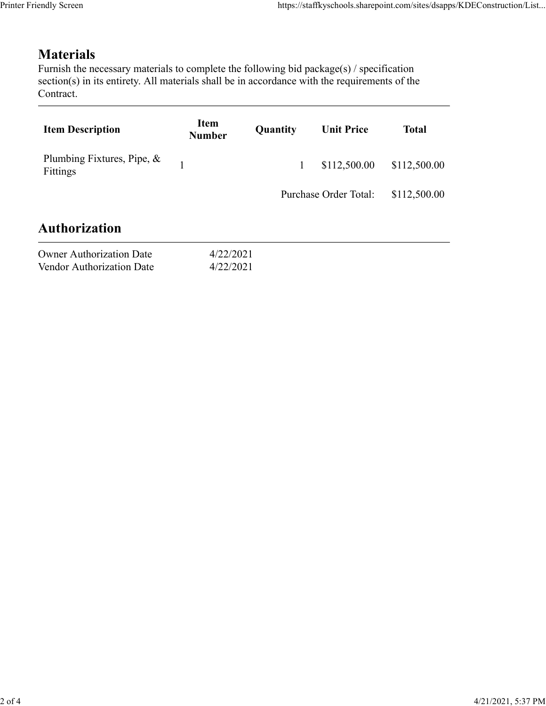## Materials

| endly Screen                                                                                                                                                                                           |                        |          | https://staffkyschools.sharepoint.com/sites/dsapps/KDEConstruction/List |              |
|--------------------------------------------------------------------------------------------------------------------------------------------------------------------------------------------------------|------------------------|----------|-------------------------------------------------------------------------|--------------|
| <b>Materials</b>                                                                                                                                                                                       |                        |          |                                                                         |              |
| Furnish the necessary materials to complete the following bid package(s) / specification<br>section(s) in its entirety. All materials shall be in accordance with the requirements of the<br>Contract. |                        |          |                                                                         |              |
| <b>Item Description</b>                                                                                                                                                                                | Item<br><b>Number</b>  | Quantity | <b>Unit Price</b>                                                       | <b>Total</b> |
| Plumbing Fixtures, Pipe, &<br>Fittings                                                                                                                                                                 | $\mathbf{1}$           | 1        | \$112,500.00                                                            | \$112,500.00 |
|                                                                                                                                                                                                        |                        |          | Purchase Order Total:                                                   | \$112,500.00 |
| <b>Authorization</b>                                                                                                                                                                                   |                        |          |                                                                         |              |
| <b>Owner Authorization Date</b><br>Vendor Authorization Date                                                                                                                                           | 4/22/2021<br>4/22/2021 |          |                                                                         |              |
|                                                                                                                                                                                                        |                        |          |                                                                         |              |

| <b>Owner Authorization Date</b> | 4/22/202 |
|---------------------------------|----------|
| Vendor Authorization Date       | 4/22/202 |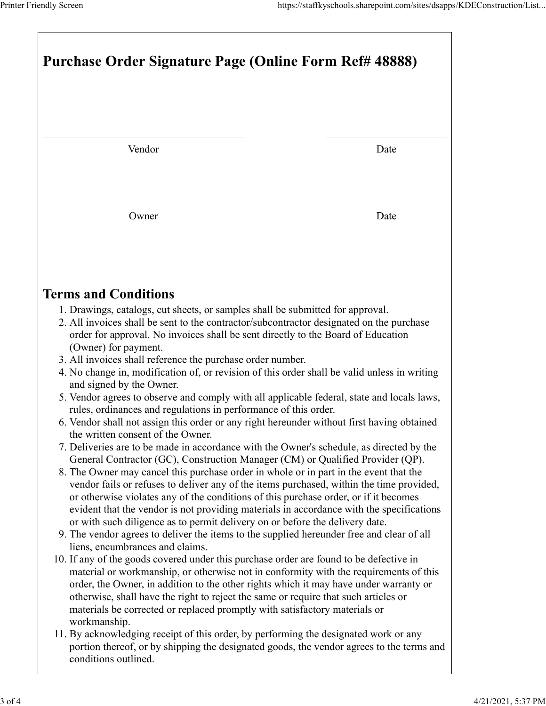| Printer Friendly Screen<br>Purchase Order Signature Page (Online Form Ref# 48888)                                                                                                 | https://staffkyschools.sharepoint.com/sites/dsapps/KDEConstruction/List |
|-----------------------------------------------------------------------------------------------------------------------------------------------------------------------------------|-------------------------------------------------------------------------|
|                                                                                                                                                                                   |                                                                         |
|                                                                                                                                                                                   |                                                                         |
|                                                                                                                                                                                   |                                                                         |
|                                                                                                                                                                                   |                                                                         |
| Vendor                                                                                                                                                                            | Date                                                                    |
|                                                                                                                                                                                   |                                                                         |
| Owner                                                                                                                                                                             | Date                                                                    |
|                                                                                                                                                                                   |                                                                         |
| <b>Terms and Conditions</b>                                                                                                                                                       |                                                                         |
| 1. Drawings, catalogs, cut sheets, or samples shall be submitted for approval.<br>2. All invoices shall be sent to the contractor/subcontractor designated on the purchase        |                                                                         |
| order for approval. No invoices shall be sent directly to the Board of Education<br>(Owner) for payment.                                                                          |                                                                         |
| 3. All invoices shall reference the purchase order number.<br>4. No change in, modification of, or revision of this order shall be valid unless in writing                        |                                                                         |
| and signed by the Owner.<br>5. Vendor agrees to observe and comply with all applicable federal, state and locals laws,                                                            |                                                                         |
| rules, ordinances and regulations in performance of this order.<br>6. Vendor shall not assign this order or any right hereunder without first having obtained                     |                                                                         |
| the written consent of the Owner.<br>7. Deliveries are to be made in accordance with the Owner's schedule, as directed by the                                                     |                                                                         |
| General Contractor (GC), Construction Manager (CM) or Qualified Provider (QP).                                                                                                    |                                                                         |
| 8. The Owner may cancel this purchase order in whole or in part in the event that the<br>vendor fails or refuses to deliver any of the items purchased, within the time provided, |                                                                         |
| or otherwise violates any of the conditions of this purchase order, or if it becomes<br>evident that the vendor is not providing materials in accordance with the specifications  |                                                                         |
| or with such diligence as to permit delivery on or before the delivery date.                                                                                                      |                                                                         |
| 9. The vendor agrees to deliver the items to the supplied hereunder free and clear of all<br>liens, encumbrances and claims.                                                      |                                                                         |
| 10. If any of the goods covered under this purchase order are found to be defective in<br>material or workmanship, or otherwise not in conformity with the requirements of this   |                                                                         |
| order, the Owner, in addition to the other rights which it may have under warranty or<br>otherwise, shall have the right to reject the same or require that such articles or      |                                                                         |
| materials be corrected or replaced promptly with satisfactory materials or<br>workmanship.                                                                                        |                                                                         |
|                                                                                                                                                                                   |                                                                         |
| 11. By acknowledging receipt of this order, by performing the designated work or any<br>portion thereof, or by shipping the designated goods, the vendor agrees to the terms and  |                                                                         |